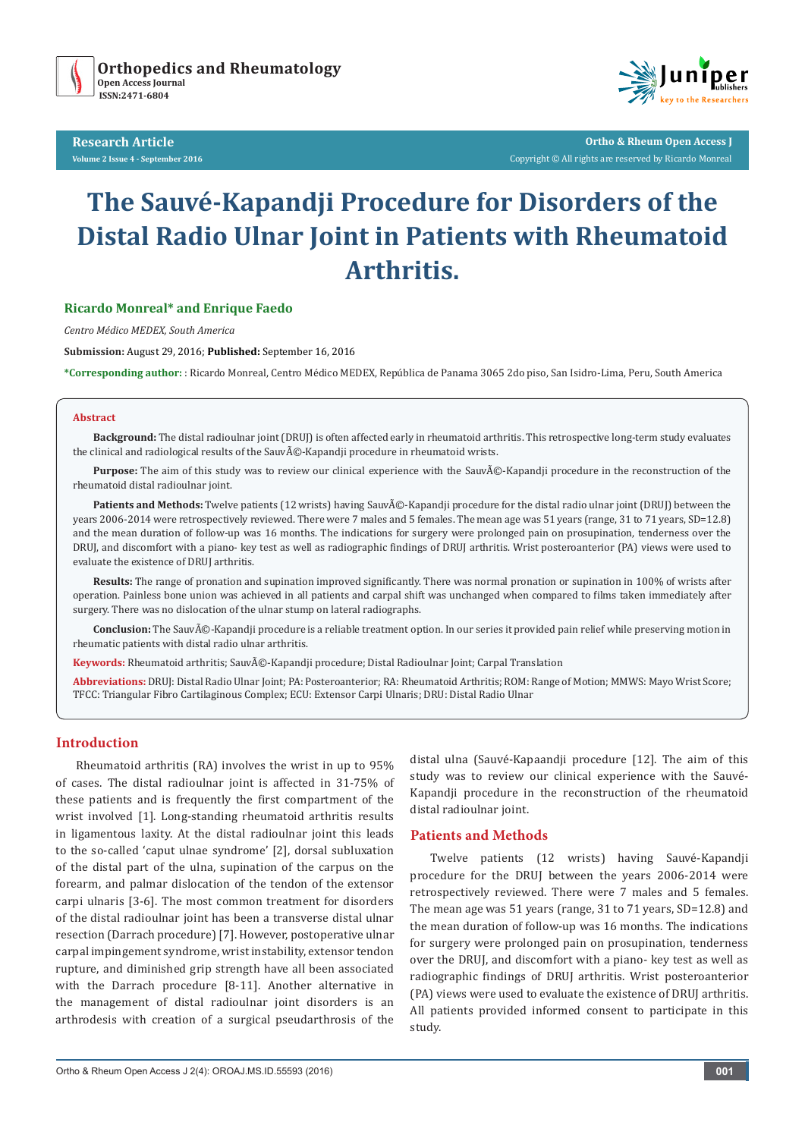

**Research Article Volume 2 Issue 4 - September 2016**



**Ortho & Rheum Open Access J** Copyright © All rights are reserved by Ricardo Monreal

# **The Sauvé-Kapandji Procedure for Disorders of the Distal Radio Ulnar Joint in Patients with Rheumatoid Arthritis.**

#### **Ricardo Monreal\* and Enrique Faedo**

*Centro Médico MEDEX, South America*

**Submission:** August 29, 2016; **Published:** September 16, 2016

**\*Corresponding author:** : Ricardo Monreal, Centro Médico MEDEX, República de Panama 3065 2do piso, San Isidro-Lima, Peru, South America

#### **Abstract**

**Background:** The distal radioulnar joint (DRUJ) is often affected early in rheumatoid arthritis. This retrospective long-term study evaluates the clinical and radiological results of the Sauvé-Kapandji procedure in rheumatoid wrists.

Purpose: The aim of this study was to review our clinical experience with the Sauvũ-Kapandji procedure in the reconstruction of the rheumatoid distal radioulnar joint.

**Patients and Methods:** Twelve patients (12 wrists) having Sauvé-Kapandji procedure for the distal radio ulnar joint (DRUJ) between the years 2006-2014 were retrospectively reviewed. There were 7 males and 5 females. The mean age was 51 years (range, 31 to 71 years, SD=12.8) and the mean duration of follow-up was 16 months. The indications for surgery were prolonged pain on prosupination, tenderness over the DRUJ, and discomfort with a piano- key test as well as radiographic findings of DRUJ arthritis. Wrist posteroanterior (PA) views were used to evaluate the existence of DRUJ arthritis.

**Results:** The range of pronation and supination improved significantly. There was normal pronation or supination in 100% of wrists after operation. Painless bone union was achieved in all patients and carpal shift was unchanged when compared to films taken immediately after surgery. There was no dislocation of the ulnar stump on lateral radiographs.

Conclusion: The Sauvé-Kapandji procedure is a reliable treatment option. In our series it provided pain relief while preserving motion in rheumatic patients with distal radio ulnar arthritis.

Keywords: Rheumatoid arthritis; Sauvé-Kapandji procedure; Distal Radioulnar Joint; Carpal Translation

**Abbreviations:** DRUJ: Distal Radio Ulnar Joint; PA: Posteroanterior; RA: Rheumatoid Arthritis; ROM: Range of Motion; MMWS: Mayo Wrist Score; TFCC: Triangular Fibro Cartilaginous Complex; ECU: Extensor Carpi Ulnaris; DRU: Distal Radio Ulnar

#### **Introduction**

Rheumatoid arthritis (RA) involves the wrist in up to 95% of cases. The distal radioulnar joint is affected in 31-75% of these patients and is frequently the first compartment of the wrist involved [1]. Long-standing rheumatoid arthritis results in ligamentous laxity. At the distal radioulnar joint this leads to the so-called 'caput ulnae syndrome' [2], dorsal subluxation of the distal part of the ulna, supination of the carpus on the forearm, and palmar dislocation of the tendon of the extensor carpi ulnaris [3-6]. The most common treatment for disorders of the distal radioulnar joint has been a transverse distal ulnar resection (Darrach procedure) [7]. However, postoperative ulnar carpal impingement syndrome, wrist instability, extensor tendon rupture, and diminished grip strength have all been associated with the Darrach procedure [8-11]. Another alternative in the management of distal radioulnar joint disorders is an arthrodesis with creation of a surgical pseudarthrosis of the distal ulna (Sauvé-Kapaandji procedure [12]. The aim of this study was to review our clinical experience with the Sauvé-Kapandji procedure in the reconstruction of the rheumatoid distal radioulnar joint.

## **Patients and Methods**

Twelve patients (12 wrists) having Sauvé-Kapandji procedure for the DRUJ between the years 2006-2014 were retrospectively reviewed. There were 7 males and 5 females. The mean age was 51 years (range, 31 to 71 years, SD=12.8) and the mean duration of follow-up was 16 months. The indications for surgery were prolonged pain on prosupination, tenderness over the DRUJ, and discomfort with a piano- key test as well as radiographic findings of DRUJ arthritis. Wrist posteroanterior (PA) views were used to evaluate the existence of DRUJ arthritis. All patients provided informed consent to participate in this study.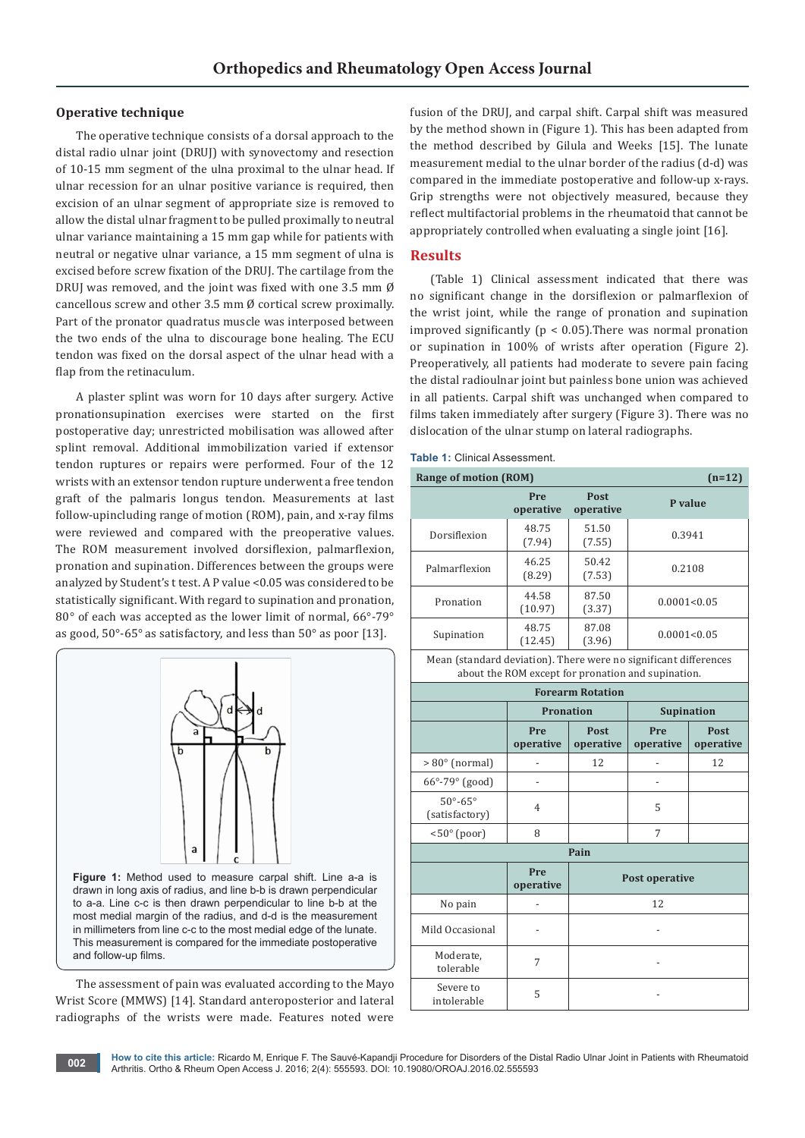#### **Operative technique**

The operative technique consists of a dorsal approach to the distal radio ulnar joint (DRUJ) with synovectomy and resection of 10-15 mm segment of the ulna proximal to the ulnar head. If ulnar recession for an ulnar positive variance is required, then excision of an ulnar segment of appropriate size is removed to allow the distal ulnar fragment to be pulled proximally to neutral ulnar variance maintaining a 15 mm gap while for patients with neutral or negative ulnar variance, a 15 mm segment of ulna is excised before screw fixation of the DRUJ. The cartilage from the DRUJ was removed, and the joint was fixed with one 3.5 mm Ø cancellous screw and other 3.5 mm  $\emptyset$  cortical screw proximally. Part of the pronator quadratus muscle was interposed between the two ends of the ulna to discourage bone healing. The ECU tendon was fixed on the dorsal aspect of the ulnar head with a flap from the retinaculum.

A plaster splint was worn for 10 days after surgery. Active pronationsupination exercises were started on the first postoperative day; unrestricted mobilisation was allowed after splint removal. Additional immobilization varied if extensor tendon ruptures or repairs were performed. Four of the 12 wrists with an extensor tendon rupture underwent a free tendon graft of the palmaris longus tendon. Measurements at last follow-upincluding range of motion (ROM), pain, and x-ray films were reviewed and compared with the preoperative values. The ROM measurement involved dorsiflexion, palmarflexion, pronation and supination. Differences between the groups were analyzed by Student's t test. A P value <0.05 was considered to be statistically significant. With regard to supination and pronation, 80° of each was accepted as the lower limit of normal, 66°-79° as good, 50°-65° as satisfactory, and less than 50° as poor [13].



The assessment of pain was evaluated according to the Mayo Wrist Score (MMWS) [14]. Standard anteroposterior and lateral radiographs of the wrists were made. Features noted were

fusion of the DRUJ, and carpal shift. Carpal shift was measured by the method shown in (Figure 1). This has been adapted from the method described by Gilula and Weeks [15]. The lunate measurement medial to the ulnar border of the radius (d-d) was compared in the immediate postoperative and follow-up x-rays. Grip strengths were not objectively measured, because they reflect multifactorial problems in the rheumatoid that cannot be appropriately controlled when evaluating a single joint [16].

#### **Results**

(Table 1) Clinical assessment indicated that there was no significant change in the dorsiflexion or palmarflexion of the wrist joint, while the range of pronation and supination improved significantly ( $p < 0.05$ ). There was normal pronation or supination in 100% of wrists after operation (Figure 2). Preoperatively, all patients had moderate to severe pain facing the distal radioulnar joint but painless bone union was achieved in all patients. Carpal shift was unchanged when compared to films taken immediately after surgery (Figure 3). There was no dislocation of the ulnar stump on lateral radiographs.

**Table 1:** Clinical Assessment.

| <b>Range of motion (ROM)</b><br>$(n=12)$                                                                               |                  |                          |                   |                   |  |
|------------------------------------------------------------------------------------------------------------------------|------------------|--------------------------|-------------------|-------------------|--|
|                                                                                                                        | Pre<br>operative | Post<br>operative        | P value           |                   |  |
| Dorsiflexion                                                                                                           | 48.75<br>(7.94)  | 51.50<br>(7.55)          | 0.3941            |                   |  |
| Palmarflexion                                                                                                          | 46.25<br>(8.29)  | 50.42<br>(7.53)          | 0.2108            |                   |  |
| Pronation                                                                                                              | 44.58<br>(10.97) | 87.50<br>(3.37)          | 0.0001<0.05       |                   |  |
| Supination                                                                                                             | 48.75<br>(12.45) | 87.08<br>(3.96)          | 0.0001<0.05       |                   |  |
| Mean (standard deviation). There were no significant differences<br>about the ROM except for pronation and supination. |                  |                          |                   |                   |  |
| <b>Forearm Rotation</b>                                                                                                |                  |                          |                   |                   |  |
|                                                                                                                        | <b>Pronation</b> |                          | <b>Supination</b> |                   |  |
|                                                                                                                        | Pre<br>operative | <b>Post</b><br>operative | Pre<br>operative  | Post<br>operative |  |
| $> 80^\circ$ (normal)                                                                                                  |                  | 12                       |                   | 12                |  |
| 66°-79° (good)                                                                                                         |                  |                          |                   |                   |  |
| $50^\circ - 65^\circ$<br>(satisfactory)                                                                                | 4                |                          | 5                 |                   |  |
| $< 50^\circ$ (poor)                                                                                                    | 8                |                          | 7                 |                   |  |
| Pain                                                                                                                   |                  |                          |                   |                   |  |
|                                                                                                                        | Pre<br>operative | Post operative           |                   |                   |  |
| No pain                                                                                                                |                  |                          | 12                |                   |  |
| Mild Occasional                                                                                                        |                  |                          |                   |                   |  |

Moderate,

Severe to

moderate, 7<br>tolerable 7

 $\frac{3}{2}$  intolerable  $\frac{5}{2}$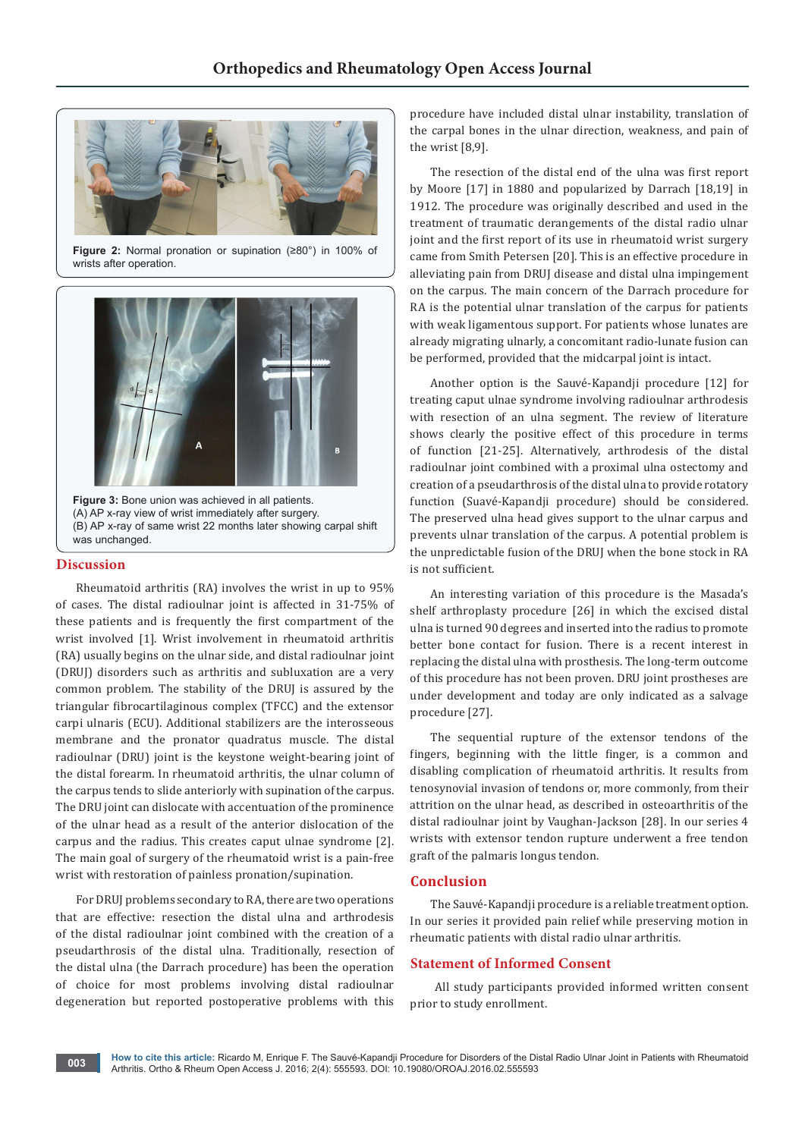

**Figure 2:** Normal pronation or supination (≥80°) in 100% of wrists after operation.



**Figure 3:** Bone union was achieved in all patients. (A) AP x-ray view of wrist immediately after surgery. (B) AP x-ray of same wrist 22 months later showing carpal shift was unchanged.

#### **Discussion**

Rheumatoid arthritis (RA) involves the wrist in up to 95% of cases. The distal radioulnar joint is affected in 31-75% of these patients and is frequently the first compartment of the wrist involved [1]. Wrist involvement in rheumatoid arthritis (RA) usually begins on the ulnar side, and distal radioulnar joint (DRUJ) disorders such as arthritis and subluxation are a very common problem. The stability of the DRUJ is assured by the triangular fibrocartilaginous complex (TFCC) and the extensor carpi ulnaris (ECU). Additional stabilizers are the interosseous membrane and the pronator quadratus muscle. The distal radioulnar (DRU) joint is the keystone weight-bearing joint of the distal forearm. In rheumatoid arthritis, the ulnar column of the carpus tends to slide anteriorly with supination of the carpus. The DRU joint can dislocate with accentuation of the prominence of the ulnar head as a result of the anterior dislocation of the carpus and the radius. This creates caput ulnae syndrome [2]. The main goal of surgery of the rheumatoid wrist is a pain-free wrist with restoration of painless pronation/supination.

For DRUJ problems secondary to RA, there are two operations that are effective: resection the distal ulna and arthrodesis of the distal radioulnar joint combined with the creation of a pseudarthrosis of the distal ulna. Traditionally, resection of the distal ulna (the Darrach procedure) has been the operation of choice for most problems involving distal radioulnar degeneration but reported postoperative problems with this

procedure have included distal ulnar instability, translation of the carpal bones in the ulnar direction, weakness, and pain of the wrist [8,9].

The resection of the distal end of the ulna was first report by Moore [17] in 1880 and popularized by Darrach [18,19] in 1912. The procedure was originally described and used in the treatment of traumatic derangements of the distal radio ulnar joint and the first report of its use in rheumatoid wrist surgery came from Smith Petersen [20]. This is an effective procedure in alleviating pain from DRUJ disease and distal ulna impingement on the carpus. The main concern of the Darrach procedure for RA is the potential ulnar translation of the carpus for patients with weak ligamentous support. For patients whose lunates are already migrating ulnarly, a concomitant radio-lunate fusion can be performed, provided that the midcarpal joint is intact.

Another option is the Sauvé-Kapandji procedure [12] for treating caput ulnae syndrome involving radioulnar arthrodesis with resection of an ulna segment. The review of literature shows clearly the positive effect of this procedure in terms of function [21-25]. Alternatively, arthrodesis of the distal radioulnar joint combined with a proximal ulna ostectomy and creation of a pseudarthrosis of the distal ulna to provide rotatory function (Suavé-Kapandji procedure) should be considered. The preserved ulna head gives support to the ulnar carpus and prevents ulnar translation of the carpus. A potential problem is the unpredictable fusion of the DRUJ when the bone stock in RA is not sufficient.

An interesting variation of this procedure is the Masada's shelf arthroplasty procedure [26] in which the excised distal ulna is turned 90 degrees and inserted into the radius to promote better bone contact for fusion. There is a recent interest in replacing the distal ulna with prosthesis. The long-term outcome of this procedure has not been proven. DRU joint prostheses are under development and today are only indicated as a salvage procedure [27].

The sequential rupture of the extensor tendons of the fingers, beginning with the little finger, is a common and disabling complication of rheumatoid arthritis. It results from tenosynovial invasion of tendons or, more commonly, from their attrition on the ulnar head, as described in osteoarthritis of the distal radioulnar joint by Vaughan-Jackson [28]. In our series 4 wrists with extensor tendon rupture underwent a free tendon graft of the palmaris longus tendon.

## **Conclusion**

The Sauvé-Kapandji procedure is a reliable treatment option. In our series it provided pain relief while preserving motion in rheumatic patients with distal radio ulnar arthritis.

#### **Statement of Informed Consent**

 All study participants provided informed written consent prior to study enrollment.